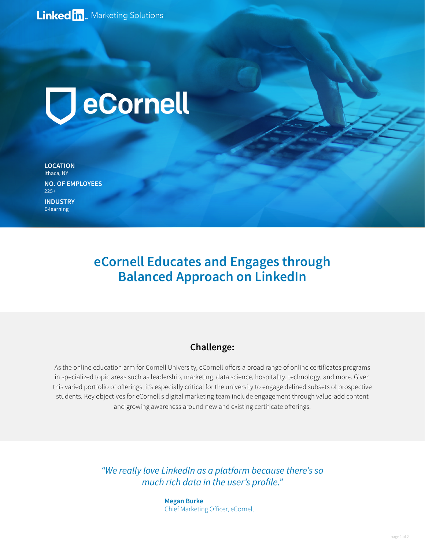

**LOCATION** Ithaca, NY **NO. OF EMPLOYEES**  $225+$ 

**INDUSTRY** E-learning

## **eCornell Educates and Engages through Balanced Approach on LinkedIn**

## **Challenge:**

As the online education arm for Cornell University, eCornell offers a broad range of online certificates programs in specialized topic areas such as leadership, marketing, data science, hospitality, technology, and more. Given this varied portfolio of offerings, it's especially critical for the university to engage defined subsets of prospective students. Key objectives for eCornell's digital marketing team include engagement through value-add content and growing awareness around new and existing certificate offerings.

> *"We really love LinkedIn as a platform because there's so*  much rich data in the user's profile."

> > **Megan Burke** [Chief Marketing Officer, eCornell](https://www.linkedin.com/in/megan-b-720b8a14/)